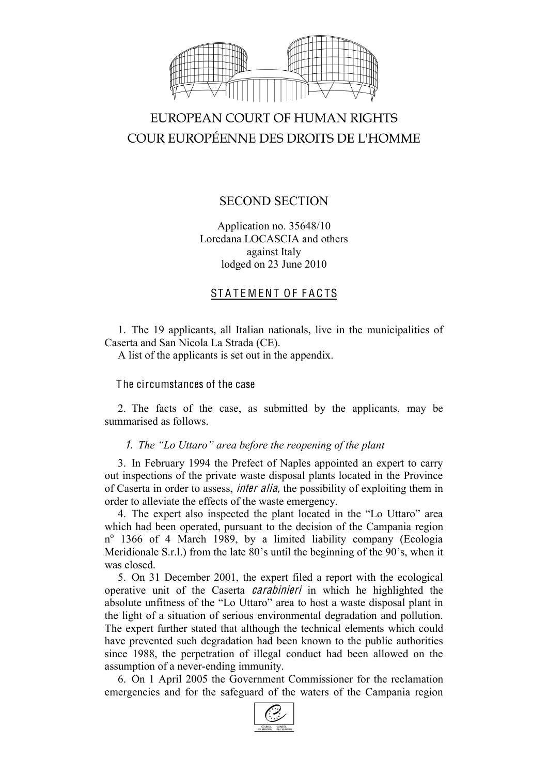

# EUROPEAN COURT OF HUMAN RIGHTS COUR EUROPÉENNE DES DROITS DE L'HOMME

# SECOND SECTION

Application no. 35648/10 Loredana LOCASCIA and others against Italy lodged on 23 June 2010

# STATEMENT OF FACTS

1. The 19 applicants, all Italian nationals, live in the municipalities of Caserta and San Nicola La Strada (CE).

A list of the applicants is set out in the appendix.

## The circumstances of the case

2. The facts of the case, as submitted by the applicants, may be summarised as follows.

### 1. *The "Lo Uttaro" area before the reopening of the plant*

3. In February 1994 the Prefect of Naples appointed an expert to carry out inspections of the private waste disposal plants located in the Province of Caserta in order to assess, inte<sup>r</sup> alia, the possibility of exploiting them in order to alleviate the effects of the waste emergency.

4. The expert also inspected the plant located in the "Lo Uttaro" area which had been operated, pursuant to the decision of the Campania region  $n^{\circ}$  1366 of 4 March 1989, by a limited liability company (Ecologia Meridionale S.r.l.) from the late 80's until the beginning of the 90's, when it was closed.

5. On 31 December 2001, the expert filed a report with the ecological operative unit of the Caserta carabinieri in which he highlighted the absolute unfitness of the "Lo Uttaro" area to host a waste disposal plant in the light of a situation of serious environmental degradation and pollution. The expert further stated that although the technical elements which could have prevented such degradation had been known to the public authorities since 1988, the perpetration of illegal conduct had been allowed on the assumption of a never-ending immunity.

6. On 1 April 2005 the Government Commissioner for the reclamation emergencies and for the safeguard of the waters of the Campania region

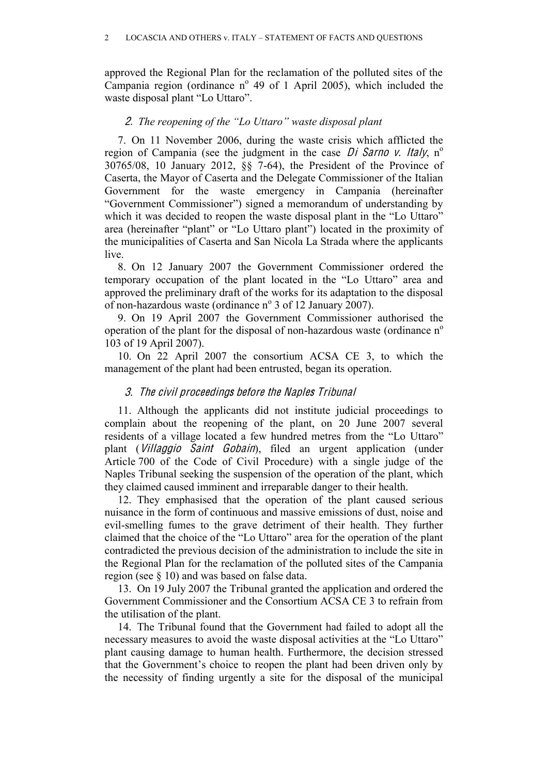approved the Regional Plan for the reclamation of the polluted sites of the Campania region (ordinance  $n^{\circ}$  49 of 1 April 2005), which included the waste disposal plant "Lo Uttaro".

#### 2. *The reopening of the "Lo Uttaro" waste disposal plant*

7. On 11 November 2006, during the waste crisis which afflicted the region of Campania (see the judgment in the case Di Sarno v. Italy,  $n^{\circ}$ 30765/08, 10 January 2012, §§ 7-64), the President of the Province of Caserta, the Mayor of Caserta and the Delegate Commissioner of the Italian Government for the waste emergency in Campania (hereinafter "Government Commissioner") signed a memorandum of understanding by which it was decided to reopen the waste disposal plant in the "Lo Uttaro" area (hereinafter "plant" or "Lo Uttaro plant") located in the proximity of the municipalities of Caserta and San Nicola La Strada where the applicants live.

8. On 12 January 2007 the Government Commissioner ordered the temporary occupation of the plant located in the "Lo Uttaro" area and approved the preliminary draft of the works for its adaptation to the disposal of non-hazardous waste (ordinance  $n^{\circ}$  3 of 12 January 2007).

9. On 19 April 2007 the Government Commissioner authorised the operation of the plant for the disposal of non-hazardous waste (ordinance  $n<sup>o</sup>$ 103 of 19 April 2007).

10. On 22 April 2007 the consortium ACSA CE 3, to which the management of the plant had been entrusted, began its operation.

### 3. Th<sup>e</sup> <sup>c</sup>ivil proceeding<sup>s</sup> befor<sup>e</sup> th<sup>e</sup> Naple<sup>s</sup> Tribunal

11. Although the applicants did not institute judicial proceedings to complain about the reopening of the plant, on 20 June 2007 several residents of a village located a few hundred metres from the "Lo Uttaro" plant (Villaggio Saint Gobain), filed an urgent application (under Article 700 of the Code of Civil Procedure) with a single judge of the Naples Tribunal seeking the suspension of the operation of the plant, which they claimed caused imminent and irreparable danger to their health.

12. They emphasised that the operation of the plant caused serious nuisance in the form of continuous and massive emissions of dust, noise and evil-smelling fumes to the grave detriment of their health. They further claimed that the choice of the "Lo Uttaro" area for the operation of the plant contradicted the previous decision of the administration to include the site in the Regional Plan for the reclamation of the polluted sites of the Campania region (see § 10) and was based on false data.

13. On 19 July 2007 the Tribunal granted the application and ordered the Government Commissioner and the Consortium ACSA CE 3 to refrain from the utilisation of the plant.

14. The Tribunal found that the Government had failed to adopt all the necessary measures to avoid the waste disposal activities at the "Lo Uttaro" plant causing damage to human health. Furthermore, the decision stressed that the Government's choice to reopen the plant had been driven only by the necessity of finding urgently a site for the disposal of the municipal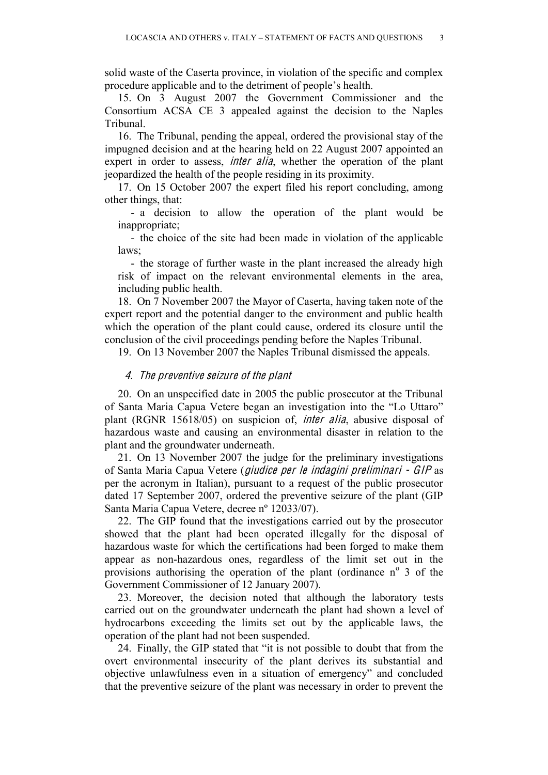solid waste of the Caserta province, in violation of the specific and complex procedure applicable and to the detriment of people's health.

15. On 3 August 2007 the Government Commissioner and the Consortium ACSA CE 3 appealed against the decision to the Naples Tribunal.

16. The Tribunal, pending the appeal, ordered the provisional stay of the impugned decision and at the hearing held on 22 August 2007 appointed an expert in order to assess, *inter alia*, whether the operation of the plant jeopardized the health of the people residing in its proximity.

17. On 15 October 2007 the expert filed his report concluding, among other things, that:

- a decision to allow the operation of the plant would be inappropriate;

- the choice of the site had been made in violation of the applicable laws;

- the storage of further waste in the plant increased the already high risk of impact on the relevant environmental elements in the area, including public health.

18. On 7 November 2007 the Mayor of Caserta, having taken note of the expert report and the potential danger to the environment and public health which the operation of the plant could cause, ordered its closure until the conclusion of the civil proceedings pending before the Naples Tribunal.

19. On 13 November 2007 the Naples Tribunal dismissed the appeals.

#### 4. Th<sup>e</sup> preventiv<sup>e</sup> <sup>s</sup>eizur<sup>e</sup> <sup>o</sup>f th<sup>e</sup> plant

20. On an unspecified date in 2005 the public prosecutor at the Tribunal of Santa Maria Capua Vetere began an investigation into the "Lo Uttaro" plant (RGNR 15618/05) on suspicion of, inte<sup>r</sup> alia, abusive disposal of hazardous waste and causing an environmental disaster in relation to the plant and the groundwater underneath.

21. On 13 November 2007 the judge for the preliminary investigations of Santa Maria Capua Vetere (giudice pe<sup>r</sup> l<sup>e</sup> indagini preliminari - GIP as per the acronym in Italian), pursuant to a request of the public prosecutor dated 17 September 2007, ordered the preventive seizure of the plant (GIP Santa Maria Capua Vetere, decree nº 12033/07).

22. The GIP found that the investigations carried out by the prosecutor showed that the plant had been operated illegally for the disposal of hazardous waste for which the certifications had been forged to make them appear as non-hazardous ones, regardless of the limit set out in the provisions authorising the operation of the plant (ordinance  $n^{\circ}$  3 of the Government Commissioner of 12 January 2007).

23. Moreover, the decision noted that although the laboratory tests carried out on the groundwater underneath the plant had shown a level of hydrocarbons exceeding the limits set out by the applicable laws, the operation of the plant had not been suspended.

24. Finally, the GIP stated that "it is not possible to doubt that from the overt environmental insecurity of the plant derives its substantial and objective unlawfulness even in a situation of emergency" and concluded that the preventive seizure of the plant was necessary in order to prevent the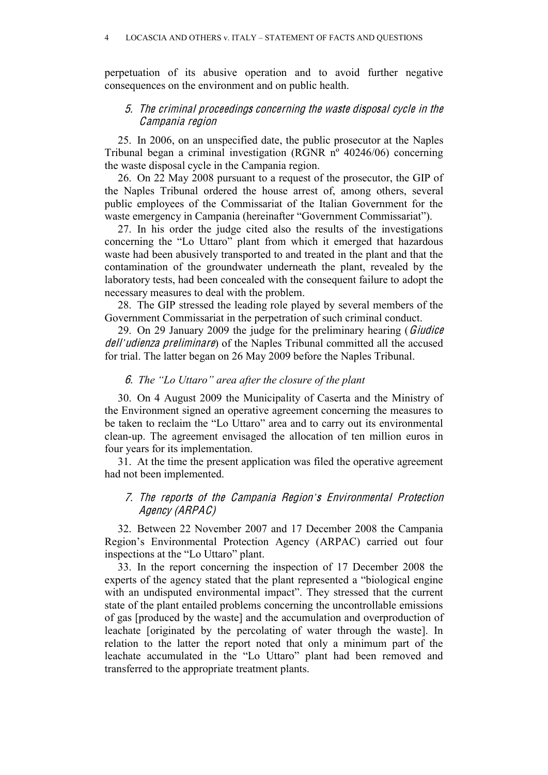perpetuation of its abusive operation and to avoid further negative consequences on the environment and on public health.

#### 5. Th<sup>e</sup> <sup>c</sup>riminal proceeding<sup>s</sup> <sup>c</sup>oncerning th<sup>e</sup> wast<sup>e</sup> disposal <sup>c</sup>ycl<sup>e</sup> in th<sup>e</sup> Campania <sup>r</sup><sup>e</sup>gion

25. In 2006, on an unspecified date, the public prosecutor at the Naples Tribunal began a criminal investigation (RGNR nº 40246/06) concerning the waste disposal cycle in the Campania region.

26. On 22 May 2008 pursuant to a request of the prosecutor, the GIP of the Naples Tribunal ordered the house arrest of, among others, several public employees of the Commissariat of the Italian Government for the waste emergency in Campania (hereinafter "Government Commissariat").

27. In his order the judge cited also the results of the investigations concerning the "Lo Uttaro" plant from which it emerged that hazardous waste had been abusively transported to and treated in the plant and that the contamination of the groundwater underneath the plant, revealed by the laboratory tests, had been concealed with the consequent failure to adopt the necessary measures to deal with the problem.

28. The GIP stressed the leading role played by several members of the Government Commissariat in the perpetration of such criminal conduct.

29. On 29 January 2009 the judge for the preliminary hearing (Giudice dell*'*udienza preliminare) of the Naples Tribunal committed all the accused for trial. The latter began on 26 May 2009 before the Naples Tribunal.

#### 6. *The "Lo Uttaro" area after the closure of the plant*

30. On 4 August 2009 the Municipality of Caserta and the Ministry of the Environment signed an operative agreement concerning the measures to be taken to reclaim the "Lo Uttaro" area and to carry out its environmental clean-up. The agreement envisaged the allocation of ten million euros in four years for its implementation.

31. At the time the present application was filed the operative agreement had not been implemented.

#### 7. Th<sup>e</sup> <sup>r</sup>eports <sup>o</sup>f <sup>t</sup>h<sup>e</sup> Campania Region*'*<sup>s</sup> Environmental Protection Ag<sup>e</sup>ncy (ARPAC)

32. Between 22 November 2007 and 17 December 2008 the Campania Region's Environmental Protection Agency (ARPAC) carried out four inspections at the "Lo Uttaro" plant.

33. In the report concerning the inspection of 17 December 2008 the experts of the agency stated that the plant represented a "biological engine with an undisputed environmental impact". They stressed that the current state of the plant entailed problems concerning the uncontrollable emissions of gas [produced by the waste] and the accumulation and overproduction of leachate [originated by the percolating of water through the waste]. In relation to the latter the report noted that only a minimum part of the leachate accumulated in the "Lo Uttaro" plant had been removed and transferred to the appropriate treatment plants.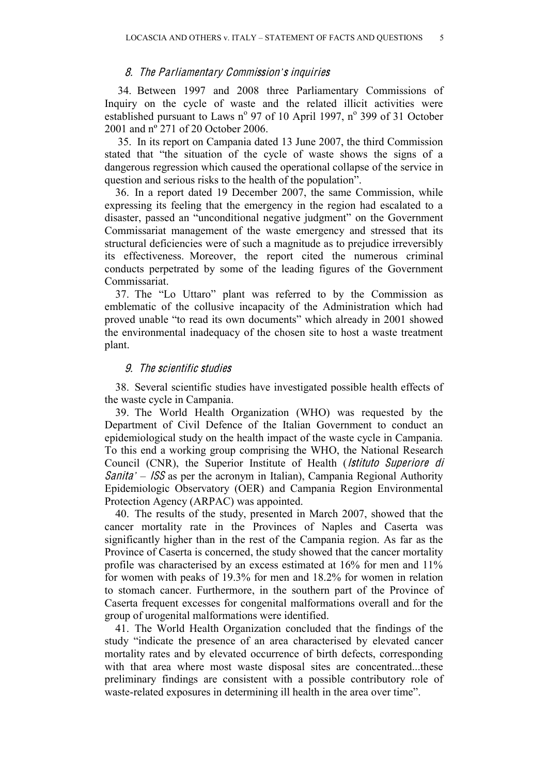#### 8. Th<sup>e</sup> Parliamentary Commission*'*<sup>s</sup> inquirie<sup>s</sup>

34. Between 1997 and 2008 three Parliamentary Commissions of Inquiry on the cycle of waste and the related illicit activities were established pursuant to Laws n° 97 of 10 April 1997, n° 399 of 31 October 2001 and nº 271 of 20 October 2006.

35. In its report on Campania dated 13 June 2007, the third Commission stated that "the situation of the cycle of waste shows the signs of a dangerous regression which caused the operational collapse of the service in question and serious risks to the health of the population".

36. In a report dated 19 December 2007, the same Commission, while expressing its feeling that the emergency in the region had escalated to a disaster, passed an "unconditional negative judgment" on the Government Commissariat management of the waste emergency and stressed that its structural deficiencies were of such a magnitude as to prejudice irreversibly its effectiveness. Moreover, the report cited the numerous criminal conducts perpetrated by some of the leading figures of the Government Commissariat.

37. The "Lo Uttaro" plant was referred to by the Commission as emblematic of the collusive incapacity of the Administration which had proved unable "to read its own documents" which already in 2001 showed the environmental inadequacy of the chosen site to host a waste treatment plant.

#### 9. The scientific studies

38. Several scientific studies have investigated possible health effects of the waste cycle in Campania.

39. The World Health Organization (WHO) was requested by the Department of Civil Defence of the Italian Government to conduct an epidemiological study on the health impact of the waste cycle in Campania. To this end a working group comprising the WHO, the National Research Council (CNR), the Superior Institute of Health (*Istituto Superiore di* Sanita*'* – ISS as per the acronym in Italian), Campania Regional Authority Epidemiologic Observatory (OER) and Campania Region Environmental Protection Agency (ARPAC) was appointed.

40. The results of the study, presented in March 2007, showed that the cancer mortality rate in the Provinces of Naples and Caserta was significantly higher than in the rest of the Campania region. As far as the Province of Caserta is concerned, the study showed that the cancer mortality profile was characterised by an excess estimated at 16% for men and 11% for women with peaks of 19.3% for men and 18.2% for women in relation to stomach cancer. Furthermore, in the southern part of the Province of Caserta frequent excesses for congenital malformations overall and for the group of urogenital malformations were identified.

41. The World Health Organization concluded that the findings of the study "indicate the presence of an area characterised by elevated cancer mortality rates and by elevated occurrence of birth defects, corresponding with that area where most waste disposal sites are concentrated...these preliminary findings are consistent with a possible contributory role of waste-related exposures in determining ill health in the area over time".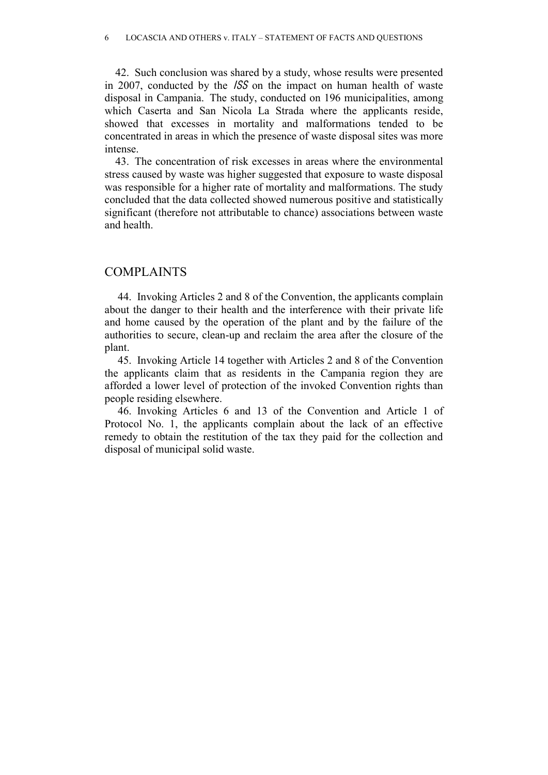42. Such conclusion was shared by a study, whose results were presented in 2007, conducted by the ISS on the impact on human health of waste disposal in Campania. The study, conducted on 196 municipalities, among which Caserta and San Nicola La Strada where the applicants reside, showed that excesses in mortality and malformations tended to be concentrated in areas in which the presence of waste disposal sites was more intense.

43. The concentration of risk excesses in areas where the environmental stress caused by waste was higher suggested that exposure to waste disposal was responsible for a higher rate of mortality and malformations. The study concluded that the data collected showed numerous positive and statistically significant (therefore not attributable to chance) associations between waste and health.

### COMPLAINTS

44. Invoking Articles 2 and 8 of the Convention, the applicants complain about the danger to their health and the interference with their private life and home caused by the operation of the plant and by the failure of the authorities to secure, clean-up and reclaim the area after the closure of the plant.

45. Invoking Article 14 together with Articles 2 and 8 of the Convention the applicants claim that as residents in the Campania region they are afforded a lower level of protection of the invoked Convention rights than people residing elsewhere.

46. Invoking Articles 6 and 13 of the Convention and Article 1 of Protocol No. 1, the applicants complain about the lack of an effective remedy to obtain the restitution of the tax they paid for the collection and disposal of municipal solid waste.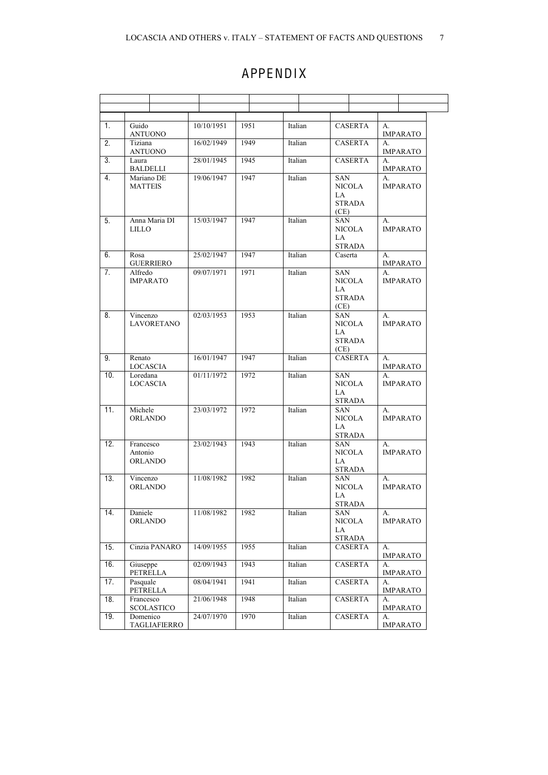# **APPENDIX**

| 1.  | Guido<br>ANTUONO                | 10/10/1951 | 1951 | Italian | <b>CASERTA</b>                                      | А.<br><b>IMPARATO</b>           |
|-----|---------------------------------|------------|------|---------|-----------------------------------------------------|---------------------------------|
| 2.  | Tiziana<br>ANTUONO              | 16/02/1949 | 1949 | Italian | <b>CASERTA</b>                                      | $\mathbf{A}$<br><b>IMPARATO</b> |
| 3.  | Laura<br>BALDELLI               | 28/01/1945 | 1945 | Italian | <b>CASERTA</b>                                      | $A_{-}$<br>IMPARATO             |
| 4.  | Mariano DE<br><b>MATTEIS</b>    | 19/06/1947 | 1947 | Italian | SAN<br>NICOLA<br>LA<br>STRADA<br>(CE)               | $A_{-}$<br><b>IMPARATO</b>      |
| 5.  | Anna Maria DI<br><b>LILLO</b>   | 15/03/1947 | 1947 | Italian | <b>SAN</b><br>NICOLA<br>LA<br>STRADA                | А.<br><b>IMPARATO</b>           |
| 6.  | Rosa<br>GUERRIERO               | 25/02/1947 | 1947 | Italian | Caserta                                             | А.<br><b>IMPARATO</b>           |
| 7.  | Alfredo<br><b>IMPARATO</b>      | 09/07/1971 | 1971 | Italian | SAN<br><b>NICOLA</b><br>LA<br><b>STRADA</b><br>(CE) | А.<br><b>IMPARATO</b>           |
| 8.  | Vincenzo<br><b>LAVORETANO</b>   | 02/03/1953 | 1953 | Italian | SAN<br><b>NICOLA</b><br>LA<br><b>STRADA</b><br>(CE) | А.<br><b>IMPARATO</b>           |
| 9.  | Renato<br>LOCASCIA              | 16/01/1947 | 1947 | Italian | <b>CASERTA</b>                                      | А.<br><b>IMPARATO</b>           |
| 10. | Loredana<br>LOCASCIA            | 01/11/1972 | 1972 | Italian | <b>SAN</b><br>NICOLA<br>LA<br>STRADA                | $A_{-}$<br><b>IMPARATO</b>      |
| 11. | Michele<br><b>ORLANDO</b>       | 23/03/1972 | 1972 | Italian | SAN<br>NICOLA<br>LA<br>STRADA                       | A.<br><b>IMPARATO</b>           |
| 12. | Francesco<br>Antonio<br>ORLANDO | 23/02/1943 | 1943 | Italian | SAN<br>NICOLA<br>LA<br>STRADA                       | А.<br><b>IMPARATO</b>           |
| 13. | Vincenzo<br><b>ORLANDO</b>      | 11/08/1982 | 1982 | Italian | <b>SAN</b><br><b>NICOLA</b><br>LA<br><b>STRADA</b>  | А.<br><b>IMPARATO</b>           |
| 14. | Daniele<br><b>ORLANDO</b>       | 11/08/1982 | 1982 | Italian | <b>SAN</b><br><b>NICOLA</b><br>LA<br><b>STRADA</b>  | А.<br><b>IMPARATO</b>           |
| 15. | Cinzia PANARO                   | 14/09/1955 | 1955 | Italian | <b>CASERTA</b>                                      | А.<br><b>IMPARATO</b>           |
| 16. | Giuseppe<br>PETRELLA            | 02/09/1943 | 1943 | Italian | <b>CASERTA</b>                                      | А.<br><b>IMPARATO</b>           |
| 17. | Pasquale<br>PETRELLA            | 08/04/1941 | 1941 | Italian | <b>CASERTA</b>                                      | А.<br><b>IMPARATO</b>           |
| 18. | Francesco<br><b>SCOLASTICO</b>  | 21/06/1948 | 1948 | Italian | <b>CASERTA</b>                                      | A.<br><b>IMPARATO</b>           |
| 19. | Domenico<br><b>TAGLIAFIERRO</b> | 24/07/1970 | 1970 | Italian | <b>CASERTA</b>                                      | А.<br><b>IMPARATO</b>           |